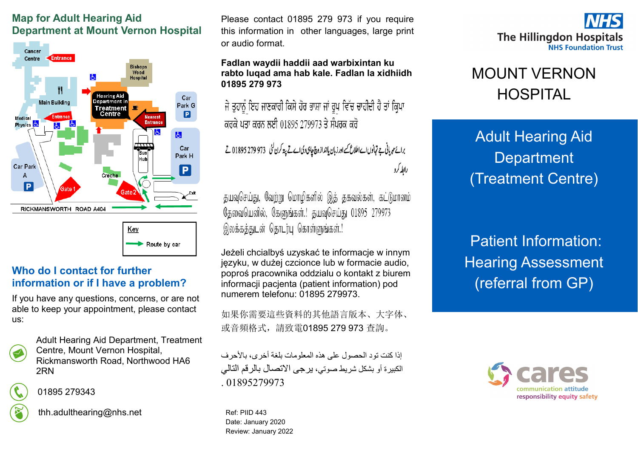### **Map for Adult Hearing Aid Department at Mount Vernon Hospital**



Route by car

#### **Who do I contact for further information or if I have a problem?**

If you have any questions, concerns, or are not able to keep your appointment, please contact us:



Adult Hearing Aid Department, Treatment Centre, Mount Vernon Hospital, Rickmansworth Road, Northwood HA6 2RN



01895 279343

thh.adulthearing@nhs.net

Please contact 01895 279 973 if you require this information in other languages, large print or audio format.

#### **Fadlan waydii haddii aad warbixintan ku rabto luqad ama hab kale. Fadlan la xidhiidh 01895 279 973**

ਜੇ ਤੁਹਾਨੂੰ ਇਹ ਜਾਣਕਾਰੀ ਕਿਸੇ ਹੋਰ ਭਾਸ਼ਾ ਜਾਂ ਰੂਪ ਵਿੱਚ ਚਾਹੀਦੀ ਹੈ ਤਾਂ ਕ੍ਰਿਪਾ ਕਰਕੇ ਪਤਾ ਕਰਨ ਲਈ 01895 279973 ਤੇ ਸੰਪਰਕ ਕਰੋ

برائع مہربانی ہے تہانوں اے اطلاع کے اور زبان یاانداز وچ چاہی دی اے تے پتہ کرن گئی ۔973 279 279 1895 تے رابطه کرد

தயவுசெய்து, வேற்று மொழிகளில் இத் தகவல்கள், கட்டுமானம் தேவையெனில், கேளுங்கள்.! தயவுசெய்து 01895 279973 இலக்கத்துடன் தொடர்பு கொள்ளுங்கள்.!

Jeżeli chcialbyś uzyskać te informacje w innym języku, w dużej czcionce lub w formacie audio, poproś pracownika oddzialu o kontakt z biurem informacji pacjenta (patient information) pod numerem telefonu: 01895 279973.

如果你需要這些資料的其他語言版本、大字体、 或音頻格式,請致電01895 279 973 查詢。

إذا كنت تود الحصول على هذه المعلومات بلغة أخرى، بالأحرف الكبيرة أو بشكل شريط صوتي، يرجى االتصال بالرقم التالي 01895279973

Ref: PIID 443 Date: January 2020 Review: January 2022



# MOUNT VERNON HOSPITAL

Adult Hearing Aid **Department** (Treatment Centre)

Patient Information: Hearing Assessment (referral from GP)